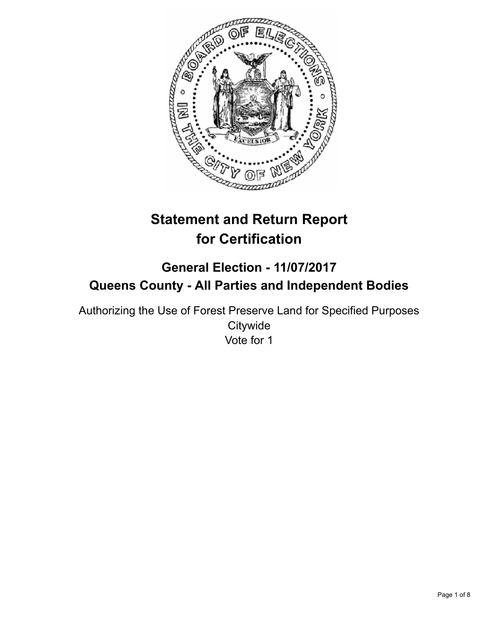

# **Statement and Return Report for Certification**

# **General Election - 11/07/2017 Queens County - All Parties and Independent Bodies**

Authorizing the Use of Forest Preserve Land for Specified Purposes **Citywide** Vote for 1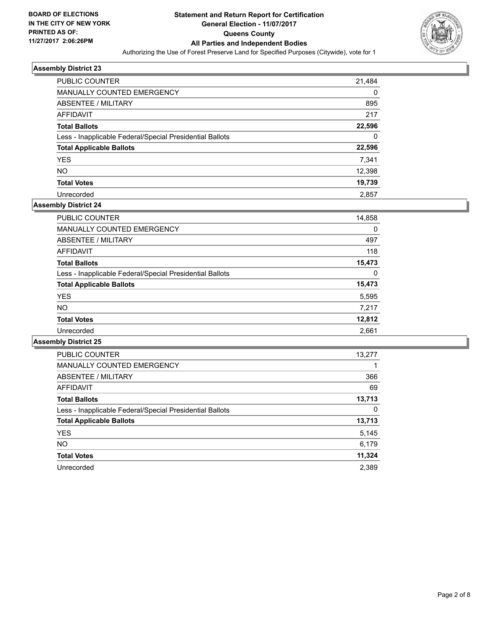

| <b>PUBLIC COUNTER</b>                                    | 21,484 |
|----------------------------------------------------------|--------|
| <b>MANUALLY COUNTED EMERGENCY</b>                        | 0      |
| ABSENTEE / MILITARY                                      | 895    |
| AFFIDAVIT                                                | 217    |
| <b>Total Ballots</b>                                     | 22,596 |
| Less - Inapplicable Federal/Special Presidential Ballots | 0      |
| <b>Total Applicable Ballots</b>                          | 22,596 |
| <b>YES</b>                                               | 7.341  |
| <b>NO</b>                                                | 12,398 |
| <b>Total Votes</b>                                       | 19,739 |
| Unrecorded                                               | 2.857  |

# **Assembly District 24**

| <b>PUBLIC COUNTER</b>                                    | 14,858 |
|----------------------------------------------------------|--------|
| <b>MANUALLY COUNTED EMERGENCY</b>                        | 0      |
| ABSENTEE / MILITARY                                      | 497    |
| AFFIDAVIT                                                | 118    |
| <b>Total Ballots</b>                                     | 15,473 |
| Less - Inapplicable Federal/Special Presidential Ballots | 0      |
| <b>Total Applicable Ballots</b>                          | 15,473 |
| <b>YES</b>                                               | 5,595  |
| NO.                                                      | 7,217  |
| <b>Total Votes</b>                                       | 12,812 |
| Unrecorded                                               | 2.661  |

| <b>PUBLIC COUNTER</b>                                    | 13,277 |
|----------------------------------------------------------|--------|
| <b>MANUALLY COUNTED EMERGENCY</b>                        |        |
| ABSENTEE / MILITARY                                      | 366    |
| AFFIDAVIT                                                | 69     |
| <b>Total Ballots</b>                                     | 13,713 |
| Less - Inapplicable Federal/Special Presidential Ballots | 0      |
| <b>Total Applicable Ballots</b>                          | 13,713 |
| <b>YES</b>                                               | 5,145  |
| <b>NO</b>                                                | 6.179  |
| <b>Total Votes</b>                                       | 11,324 |
| Unrecorded                                               | 2.389  |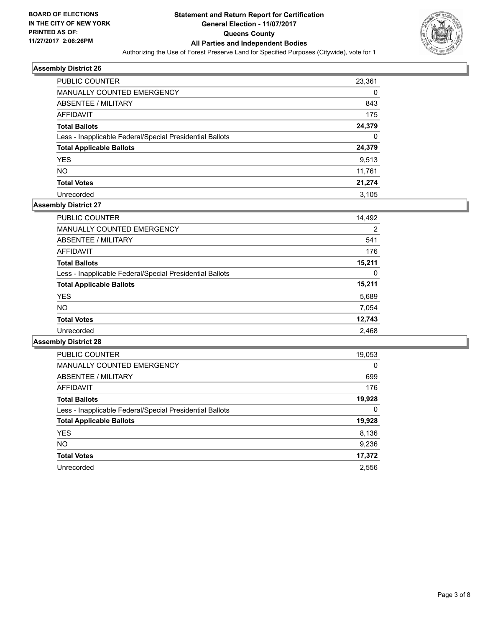

| <b>PUBLIC COUNTER</b>                                    | 23,361 |
|----------------------------------------------------------|--------|
| <b>MANUALLY COUNTED EMERGENCY</b>                        | 0      |
| ABSENTEE / MILITARY                                      | 843    |
| AFFIDAVIT                                                | 175    |
| <b>Total Ballots</b>                                     | 24,379 |
| Less - Inapplicable Federal/Special Presidential Ballots | 0      |
| <b>Total Applicable Ballots</b>                          | 24,379 |
| <b>YES</b>                                               | 9.513  |
| <b>NO</b>                                                | 11,761 |
| <b>Total Votes</b>                                       | 21,274 |
| Unrecorded                                               | 3.105  |

# **Assembly District 27**

| <b>PUBLIC COUNTER</b>                                    | 14,492         |
|----------------------------------------------------------|----------------|
| <b>MANUALLY COUNTED EMERGENCY</b>                        | $\overline{2}$ |
| ABSENTEE / MILITARY                                      | 541            |
| AFFIDAVIT                                                | 176            |
| <b>Total Ballots</b>                                     | 15,211         |
| Less - Inapplicable Federal/Special Presidential Ballots | 0              |
| <b>Total Applicable Ballots</b>                          | 15,211         |
| <b>YES</b>                                               | 5,689          |
| <b>NO</b>                                                | 7,054          |
| <b>Total Votes</b>                                       | 12,743         |
| Unrecorded                                               | 2,468          |

| <b>PUBLIC COUNTER</b>                                    | 19,053 |
|----------------------------------------------------------|--------|
| <b>MANUALLY COUNTED EMERGENCY</b>                        | 0      |
| <b>ABSENTEE / MILITARY</b>                               | 699    |
| AFFIDAVIT                                                | 176    |
| <b>Total Ballots</b>                                     | 19,928 |
| Less - Inapplicable Federal/Special Presidential Ballots | 0      |
| <b>Total Applicable Ballots</b>                          | 19,928 |
| <b>YES</b>                                               | 8,136  |
| NO.                                                      | 9,236  |
| <b>Total Votes</b>                                       | 17,372 |
| Unrecorded                                               | 2,556  |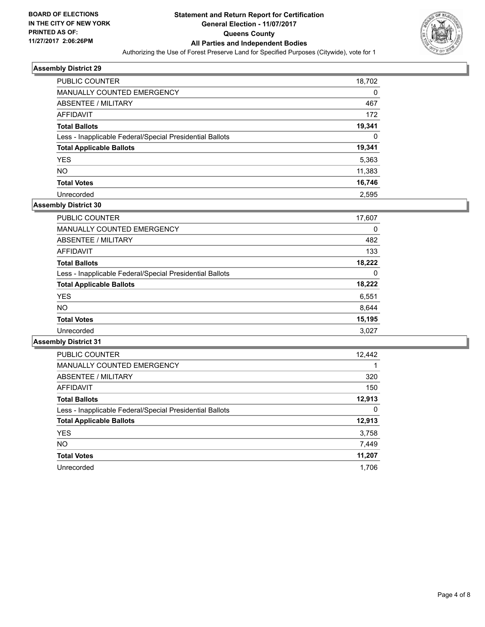

| <b>PUBLIC COUNTER</b>                                    | 18,702 |
|----------------------------------------------------------|--------|
| <b>MANUALLY COUNTED EMERGENCY</b>                        | 0      |
| ABSENTEE / MILITARY                                      | 467    |
| AFFIDAVIT                                                | 172    |
| <b>Total Ballots</b>                                     | 19,341 |
| Less - Inapplicable Federal/Special Presidential Ballots | 0      |
| <b>Total Applicable Ballots</b>                          | 19,341 |
| <b>YES</b>                                               | 5,363  |
| <b>NO</b>                                                | 11,383 |
| <b>Total Votes</b>                                       | 16,746 |
| Unrecorded                                               | 2.595  |

## **Assembly District 30**

| <b>PUBLIC COUNTER</b>                                    | 17,607 |
|----------------------------------------------------------|--------|
| MANUALLY COUNTED EMERGENCY                               | 0      |
| ABSENTEE / MILITARY                                      | 482    |
| AFFIDAVIT                                                | 133    |
| <b>Total Ballots</b>                                     | 18,222 |
| Less - Inapplicable Federal/Special Presidential Ballots | 0      |
| <b>Total Applicable Ballots</b>                          | 18,222 |
| <b>YES</b>                                               | 6,551  |
| <b>NO</b>                                                | 8,644  |
| <b>Total Votes</b>                                       | 15,195 |
| Unrecorded                                               | 3,027  |

| <b>PUBLIC COUNTER</b>                                    | 12,442 |
|----------------------------------------------------------|--------|
| <b>MANUALLY COUNTED EMERGENCY</b>                        |        |
| <b>ABSENTEE / MILITARY</b>                               | 320    |
| <b>AFFIDAVIT</b>                                         | 150    |
| <b>Total Ballots</b>                                     | 12,913 |
| Less - Inapplicable Federal/Special Presidential Ballots | 0      |
| <b>Total Applicable Ballots</b>                          | 12,913 |
| <b>YES</b>                                               | 3,758  |
| <b>NO</b>                                                | 7,449  |
| <b>Total Votes</b>                                       | 11,207 |
| Unrecorded                                               | 1.706  |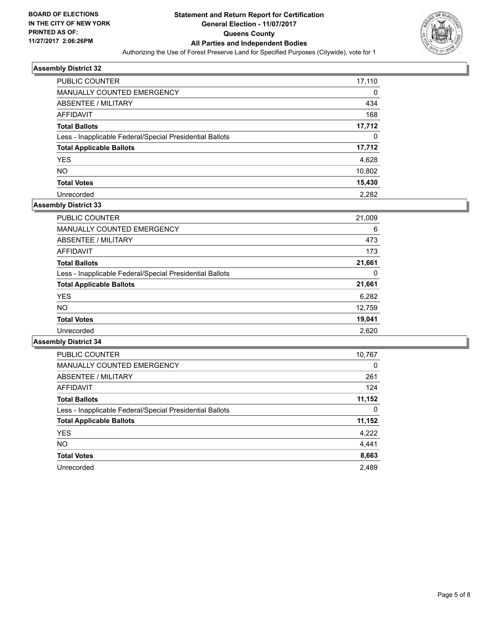

| <b>PUBLIC COUNTER</b>                                    | 17,110 |
|----------------------------------------------------------|--------|
| <b>MANUALLY COUNTED EMERGENCY</b>                        | 0      |
| ABSENTEE / MILITARY                                      | 434    |
| AFFIDAVIT                                                | 168    |
| <b>Total Ballots</b>                                     | 17,712 |
| Less - Inapplicable Federal/Special Presidential Ballots | 0      |
| <b>Total Applicable Ballots</b>                          | 17,712 |
| <b>YES</b>                                               | 4,628  |
| <b>NO</b>                                                | 10,802 |
| <b>Total Votes</b>                                       | 15,430 |
| Unrecorded                                               | 2.282  |

# **Assembly District 33**

| <b>PUBLIC COUNTER</b>                                    | 21,009 |
|----------------------------------------------------------|--------|
| <b>MANUALLY COUNTED EMERGENCY</b>                        | 6      |
| ABSENTEE / MILITARY                                      | 473    |
| AFFIDAVIT                                                | 173    |
| <b>Total Ballots</b>                                     | 21,661 |
| Less - Inapplicable Federal/Special Presidential Ballots | 0      |
| <b>Total Applicable Ballots</b>                          | 21,661 |
| <b>YES</b>                                               | 6,282  |
| <b>NO</b>                                                | 12,759 |
| <b>Total Votes</b>                                       | 19,041 |
| Unrecorded                                               | 2,620  |

| <b>PUBLIC COUNTER</b>                                    | 10,767 |
|----------------------------------------------------------|--------|
| <b>MANUALLY COUNTED EMERGENCY</b>                        | 0      |
| ABSENTEE / MILITARY                                      | 261    |
| AFFIDAVIT                                                | 124    |
| <b>Total Ballots</b>                                     | 11,152 |
| Less - Inapplicable Federal/Special Presidential Ballots | 0      |
| <b>Total Applicable Ballots</b>                          | 11,152 |
| <b>YES</b>                                               | 4,222  |
| <b>NO</b>                                                | 4,441  |
| <b>Total Votes</b>                                       | 8,663  |
| Unrecorded                                               | 2.489  |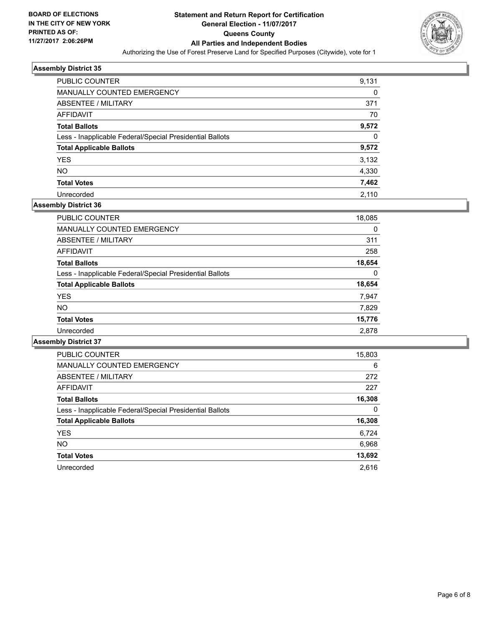

| <b>PUBLIC COUNTER</b>                                    | 9,131 |
|----------------------------------------------------------|-------|
| MANUALLY COUNTED EMERGENCY                               | 0     |
| ABSENTEE / MILITARY                                      | 371   |
| AFFIDAVIT                                                | 70    |
| <b>Total Ballots</b>                                     | 9,572 |
| Less - Inapplicable Federal/Special Presidential Ballots | 0     |
| <b>Total Applicable Ballots</b>                          | 9,572 |
| <b>YES</b>                                               | 3,132 |
| <b>NO</b>                                                | 4,330 |
| <b>Total Votes</b>                                       | 7,462 |
| Unrecorded                                               | 2.110 |

# **Assembly District 36**

| <b>PUBLIC COUNTER</b>                                    | 18,085 |
|----------------------------------------------------------|--------|
| <b>MANUALLY COUNTED EMERGENCY</b>                        | 0      |
| ABSENTEE / MILITARY                                      | 311    |
| AFFIDAVIT                                                | 258    |
| <b>Total Ballots</b>                                     | 18,654 |
| Less - Inapplicable Federal/Special Presidential Ballots | 0      |
| <b>Total Applicable Ballots</b>                          | 18,654 |
| <b>YES</b>                                               | 7,947  |
| <b>NO</b>                                                | 7,829  |
| <b>Total Votes</b>                                       | 15,776 |
| Unrecorded                                               | 2,878  |
|                                                          |        |

| <b>PUBLIC COUNTER</b>                                    | 15,803 |
|----------------------------------------------------------|--------|
| <b>MANUALLY COUNTED EMERGENCY</b>                        | 6      |
| <b>ABSENTEE / MILITARY</b>                               | 272    |
| AFFIDAVIT                                                | 227    |
| <b>Total Ballots</b>                                     | 16,308 |
| Less - Inapplicable Federal/Special Presidential Ballots | 0      |
| <b>Total Applicable Ballots</b>                          | 16,308 |
| <b>YES</b>                                               | 6,724  |
| NO.                                                      | 6,968  |
| <b>Total Votes</b>                                       | 13,692 |
| Unrecorded                                               | 2.616  |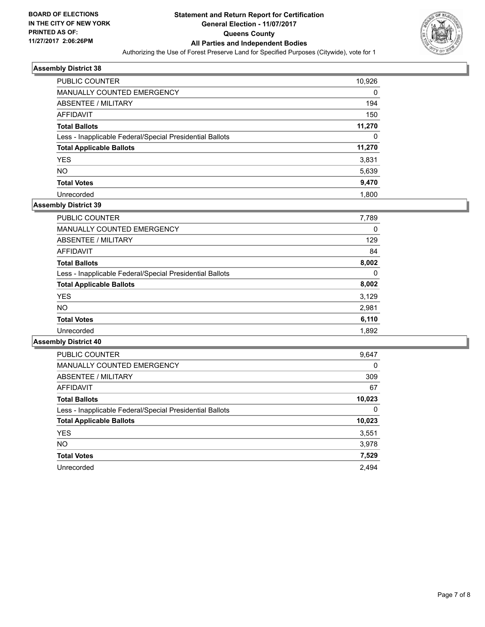

| <b>PUBLIC COUNTER</b>                                    | 10,926 |
|----------------------------------------------------------|--------|
| <b>MANUALLY COUNTED EMERGENCY</b>                        | 0      |
| ABSENTEE / MILITARY                                      | 194    |
| AFFIDAVIT                                                | 150    |
| <b>Total Ballots</b>                                     | 11,270 |
| Less - Inapplicable Federal/Special Presidential Ballots | 0      |
| <b>Total Applicable Ballots</b>                          | 11,270 |
| <b>YES</b>                                               | 3,831  |
| <b>NO</b>                                                | 5,639  |
| <b>Total Votes</b>                                       | 9,470  |
| Unrecorded                                               | 1.800  |

# **Assembly District 39**

| <b>PUBLIC COUNTER</b>                                    | 7,789 |
|----------------------------------------------------------|-------|
| <b>MANUALLY COUNTED EMERGENCY</b>                        | 0     |
| ABSENTEE / MILITARY                                      | 129   |
| AFFIDAVIT                                                | 84    |
| <b>Total Ballots</b>                                     | 8,002 |
| Less - Inapplicable Federal/Special Presidential Ballots | 0     |
| <b>Total Applicable Ballots</b>                          | 8,002 |
| <b>YES</b>                                               | 3,129 |
| <b>NO</b>                                                | 2,981 |
| <b>Total Votes</b>                                       | 6,110 |
| Unrecorded                                               | 1,892 |

| <b>PUBLIC COUNTER</b>                                    | 9,647  |
|----------------------------------------------------------|--------|
| <b>MANUALLY COUNTED EMERGENCY</b>                        | 0      |
| ABSENTEE / MILITARY                                      | 309    |
| <b>AFFIDAVIT</b>                                         | 67     |
| <b>Total Ballots</b>                                     | 10,023 |
| Less - Inapplicable Federal/Special Presidential Ballots | 0      |
| <b>Total Applicable Ballots</b>                          | 10,023 |
| <b>YES</b>                                               | 3,551  |
| <b>NO</b>                                                | 3,978  |
| <b>Total Votes</b>                                       | 7,529  |
| Unrecorded                                               | 2.494  |